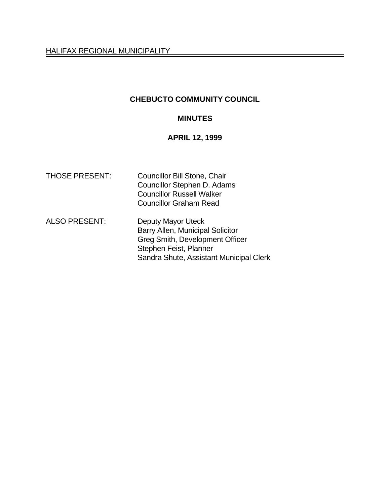HALIFAX REGIONAL MUNICIPALITY

## **CHEBUCTO COMMUNITY COUNCIL**

### **MINUTES**

**APRIL 12, 1999**

| <b>THOSE PRESENT:</b> | <b>Councillor Bill Stone, Chair</b><br>Councillor Stephen D. Adams<br><b>Councillor Russell Walker</b><br><b>Councillor Graham Read</b>                        |
|-----------------------|----------------------------------------------------------------------------------------------------------------------------------------------------------------|
| <b>ALSO PRESENT:</b>  | Deputy Mayor Uteck<br>Barry Allen, Municipal Solicitor<br>Greg Smith, Development Officer<br>Stephen Feist, Planner<br>Sandra Shute, Assistant Municipal Clerk |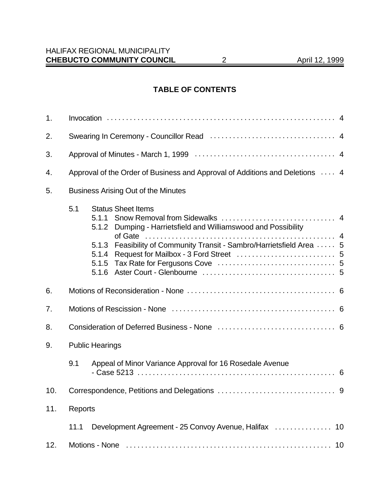# **TABLE OF CONTENTS**

| 1.  |                                                                              |                                                                                                                                                                                                                |  |
|-----|------------------------------------------------------------------------------|----------------------------------------------------------------------------------------------------------------------------------------------------------------------------------------------------------------|--|
| 2.  |                                                                              |                                                                                                                                                                                                                |  |
| 3.  |                                                                              |                                                                                                                                                                                                                |  |
| 4.  | Approval of the Order of Business and Approval of Additions and Deletions  4 |                                                                                                                                                                                                                |  |
| 5.  | <b>Business Arising Out of the Minutes</b>                                   |                                                                                                                                                                                                                |  |
|     | 5.1                                                                          | <b>Status Sheet Items</b><br>5.1.1<br>Dumping - Harrietsfield and Williamswood and Possibility<br>5.1.2<br>Feasibility of Community Transit - Sambro/Harrietsfield Area  5<br>5.1.3<br>5.1.4<br>5.1.5<br>5.1.6 |  |
| 6.  |                                                                              |                                                                                                                                                                                                                |  |
| 7.  |                                                                              |                                                                                                                                                                                                                |  |
| 8.  |                                                                              |                                                                                                                                                                                                                |  |
| 9.  |                                                                              | <b>Public Hearings</b>                                                                                                                                                                                         |  |
|     | 9.1                                                                          | Appeal of Minor Variance Approval for 16 Rosedale Avenue                                                                                                                                                       |  |
| 10. |                                                                              |                                                                                                                                                                                                                |  |
| 11. | Reports                                                                      |                                                                                                                                                                                                                |  |
|     | 11.1                                                                         | Development Agreement - 25 Convoy Avenue, Halifax<br>10                                                                                                                                                        |  |
| 12. |                                                                              | 10                                                                                                                                                                                                             |  |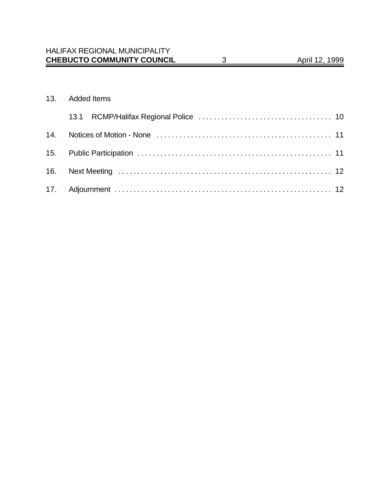#### 13. Added Items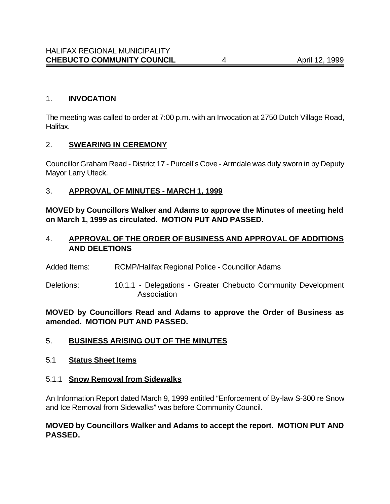### 1. **INVOCATION**

The meeting was called to order at 7:00 p.m. with an Invocation at 2750 Dutch Village Road, Halifax.

#### 2. **SWEARING IN CEREMONY**

Councillor Graham Read - District 17 - Purcell's Cove - Armdale was duly sworn in by Deputy Mayor Larry Uteck.

### 3. **APPROVAL OF MINUTES - MARCH 1, 1999**

**MOVED by Councillors Walker and Adams to approve the Minutes of meeting held on March 1, 1999 as circulated. MOTION PUT AND PASSED.**

### 4. **APPROVAL OF THE ORDER OF BUSINESS AND APPROVAL OF ADDITIONS AND DELETIONS**

- Added Items: RCMP/Halifax Regional Police Councillor Adams
- Deletions: 10.1.1 Delegations Greater Chebucto Community Development Association

**MOVED by Councillors Read and Adams to approve the Order of Business as amended. MOTION PUT AND PASSED.**

### 5. **BUSINESS ARISING OUT OF THE MINUTES**

#### 5.1 **Status Sheet Items**

#### 5.1.1 **Snow Removal from Sidewalks**

An Information Report dated March 9, 1999 entitled "Enforcement of By-law S-300 re Snow and Ice Removal from Sidewalks" was before Community Council.

### **MOVED by Councillors Walker and Adams to accept the report. MOTION PUT AND PASSED.**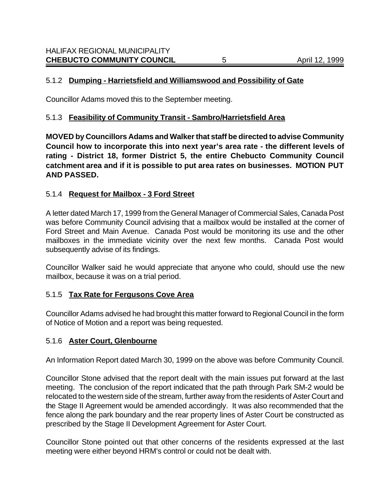### 5.1.2 **Dumping - Harrietsfield and Williamswood and Possibility of Gate**

Councillor Adams moved this to the September meeting.

#### 5.1.3 **Feasibility of Community Transit - Sambro/Harrietsfield Area**

**MOVED by Councillors Adams and Walker that staff be directed to advise Community Council how to incorporate this into next year's area rate - the different levels of rating - District 18, former District 5, the entire Chebucto Community Council catchment area and if it is possible to put area rates on businesses. MOTION PUT AND PASSED.**

#### 5.1.4 **Request for Mailbox - 3 Ford Street**

A letter dated March 17, 1999 from the General Manager of Commercial Sales, Canada Post was before Community Council advising that a mailbox would be installed at the corner of Ford Street and Main Avenue. Canada Post would be monitoring its use and the other mailboxes in the immediate vicinity over the next few months. Canada Post would subsequently advise of its findings.

Councillor Walker said he would appreciate that anyone who could, should use the new mailbox, because it was on a trial period.

#### 5.1.5 **Tax Rate for Fergusons Cove Area**

Councillor Adams advised he had brought this matter forward to Regional Council in the form of Notice of Motion and a report was being requested.

#### 5.1.6 **Aster Court, Glenbourne**

An Information Report dated March 30, 1999 on the above was before Community Council.

Councillor Stone advised that the report dealt with the main issues put forward at the last meeting. The conclusion of the report indicated that the path through Park SM-2 would be relocated to the western side of the stream, further away from the residents of Aster Court and the Stage II Agreement would be amended accordingly. It was also recommended that the fence along the park boundary and the rear property lines of Aster Court be constructed as prescribed by the Stage II Development Agreement for Aster Court.

Councillor Stone pointed out that other concerns of the residents expressed at the last meeting were either beyond HRM's control or could not be dealt with.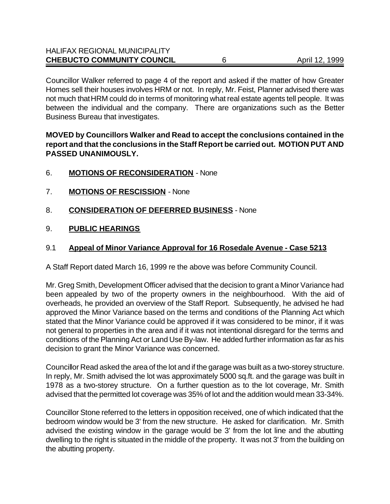| <b>CHEBUCTO COMMUNITY COUNCIL</b>    | April 12, 1999 |
|--------------------------------------|----------------|
| <b>HALIFAX REGIONAL MUNICIPALITY</b> |                |

Councillor Walker referred to page 4 of the report and asked if the matter of how Greater Homes sell their houses involves HRM or not. In reply, Mr. Feist, Planner advised there was not much that HRM could do in terms of monitoring what real estate agents tell people. It was between the individual and the company. There are organizations such as the Better Business Bureau that investigates.

### **MOVED by Councillors Walker and Read to accept the conclusions contained in the report and that the conclusions in the Staff Report be carried out. MOTION PUT AND PASSED UNANIMOUSLY.**

- 6. **MOTIONS OF RECONSIDERATION** None
- 7. **MOTIONS OF RESCISSION** None
- 8. **CONSIDERATION OF DEFERRED BUSINESS** None
- 9. **PUBLIC HEARINGS**

#### 9.1 **Appeal of Minor Variance Approval for 16 Rosedale Avenue - Case 5213**

A Staff Report dated March 16, 1999 re the above was before Community Council.

Mr. Greg Smith, Development Officer advised that the decision to grant a Minor Variance had been appealed by two of the property owners in the neighbourhood. With the aid of overheads, he provided an overview of the Staff Report. Subsequently, he advised he had approved the Minor Variance based on the terms and conditions of the Planning Act which stated that the Minor Variance could be approved if it was considered to be minor, if it was not general to properties in the area and if it was not intentional disregard for the terms and conditions of the Planning Act or Land Use By-law. He added further information as far as his decision to grant the Minor Variance was concerned.

Councillor Read asked the area of the lot and if the garage was built as a two-storey structure. In reply, Mr. Smith advised the lot was approximately 5000 sq.ft. and the garage was built in 1978 as a two-storey structure. On a further question as to the lot coverage, Mr. Smith advised that the permitted lot coverage was 35% of lot and the addition would mean 33-34%.

Councillor Stone referred to the letters in opposition received, one of which indicated that the bedroom window would be 3' from the new structure. He asked for clarification. Mr. Smith advised the existing window in the garage would be 3' from the lot line and the abutting dwelling to the right is situated in the middle of the property. It was not 3' from the building on the abutting property.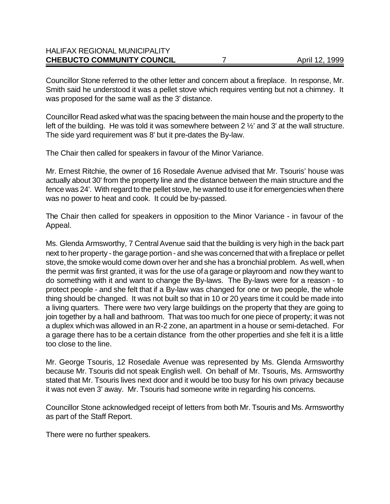### HALIFAX REGIONAL MUNICIPALITY **CHEBUCTO COMMUNITY COUNCIL** 7 April 12, 1999

Councillor Stone referred to the other letter and concern about a fireplace. In response, Mr. Smith said he understood it was a pellet stove which requires venting but not a chimney. It was proposed for the same wall as the 3' distance.

Councillor Read asked what was the spacing between the main house and the property to the left of the building. He was told it was somewhere between 2 %' and 3' at the wall structure. The side yard requirement was 8' but it pre-dates the By-law.

The Chair then called for speakers in favour of the Minor Variance.

Mr. Ernest Ritchie, the owner of 16 Rosedale Avenue advised that Mr. Tsouris' house was actually about 30' from the property line and the distance between the main structure and the fence was 24'. With regard to the pellet stove, he wanted to use it for emergencies when there was no power to heat and cook. It could be by-passed.

The Chair then called for speakers in opposition to the Minor Variance - in favour of the Appeal.

Ms. Glenda Armsworthy, 7 Central Avenue said that the building is very high in the back part next to her property - the garage portion - and she was concerned that with a fireplace or pellet stove, the smoke would come down over her and she has a bronchial problem. As well, when the permit was first granted, it was for the use of a garage or playroom and now they want to do something with it and want to change the By-laws. The By-laws were for a reason - to protect people - and she felt that if a By-law was changed for one or two people, the whole thing should be changed. It was not built so that in 10 or 20 years time it could be made into a living quarters. There were two very large buildings on the property that they are going to join together by a hall and bathroom. That was too much for one piece of property; it was not a duplex which was allowed in an R-2 zone, an apartment in a house or semi-detached. For a garage there has to be a certain distance from the other properties and she felt it is a little too close to the line.

Mr. George Tsouris, 12 Rosedale Avenue was represented by Ms. Glenda Armsworthy because Mr. Tsouris did not speak English well. On behalf of Mr. Tsouris, Ms. Armsworthy stated that Mr. Tsouris lives next door and it would be too busy for his own privacy because it was not even 3' away. Mr. Tsouris had someone write in regarding his concerns.

Councillor Stone acknowledged receipt of letters from both Mr. Tsouris and Ms. Armsworthy as part of the Staff Report.

There were no further speakers.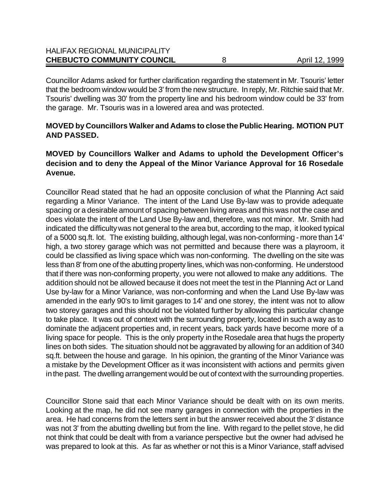| <b>CHEBUCTO COMMUNITY COUNCIL</b>    | April 12, 1999 |
|--------------------------------------|----------------|
| <b>HALIFAX REGIONAL MUNICIPALITY</b> |                |

Councillor Adams asked for further clarification regarding the statement in Mr. Tsouris' letter that the bedroom window would be 3' from the new structure. In reply, Mr. Ritchie said that Mr. Tsouris' dwelling was 30' from the property line and his bedroom window could be 33' from the garage. Mr. Tsouris was in a lowered area and was protected.

### **MOVED by Councillors Walker and Adams to close the Public Hearing. MOTION PUT AND PASSED.**

### **MOVED by Councillors Walker and Adams to uphold the Development Officer's decision and to deny the Appeal of the Minor Variance Approval for 16 Rosedale Avenue.**

Councillor Read stated that he had an opposite conclusion of what the Planning Act said regarding a Minor Variance. The intent of the Land Use By-law was to provide adequate spacing or a desirable amount of spacing between living areas and this was not the case and does violate the intent of the Land Use By-law and, therefore, was not minor. Mr. Smith had indicated the difficulty was not general to the area but, according to the map, it looked typical of a 5000 sq.ft. lot. The existing building, although legal, was non-conforming - more than 14' high, a two storey garage which was not permitted and because there was a playroom, it could be classified as living space which was non-conforming. The dwelling on the site was less than 8' from one of the abutting property lines, which was non-conforming. He understood that if there was non-conforming property, you were not allowed to make any additions. The addition should not be allowed because it does not meet the test in the Planning Act or Land Use by-law for a Minor Variance, was non-conforming and when the Land Use By-law was amended in the early 90's to limit garages to 14' and one storey, the intent was not to allow two storey garages and this should not be violated further by allowing this particular change to take place. It was out of context with the surrounding property, located in such a way as to dominate the adjacent properties and, in recent years, back yards have become more of a living space for people. This is the only property in the Rosedale area that hugs the property lines on both sides. The situation should not be aggravated by allowing for an addition of 340 sq.ft. between the house and garage. In his opinion, the granting of the Minor Variance was a mistake by the Development Officer as it was inconsistent with actions and permits given in the past. The dwelling arrangement would be out of context with the surrounding properties.

Councillor Stone said that each Minor Variance should be dealt with on its own merits. Looking at the map, he did not see many garages in connection with the properties in the area. He had concerns from the letters sent in but the answer received about the 3' distance was not 3' from the abutting dwelling but from the line. With regard to the pellet stove, he did not think that could be dealt with from a variance perspective but the owner had advised he was prepared to look at this. As far as whether or not this is a Minor Variance, staff advised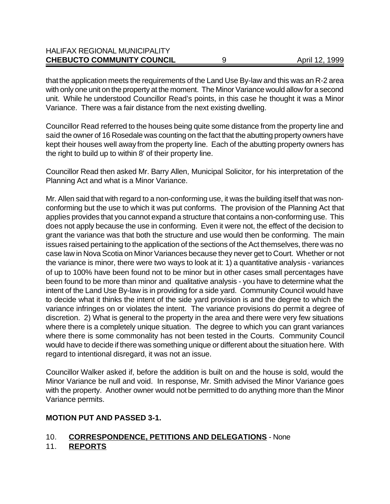| <b>CHEBUCTO COMMUNITY COUNCIL</b>    | April 12, 1999 |
|--------------------------------------|----------------|
| <b>HALIFAX REGIONAL MUNICIPALITY</b> |                |

that the application meets the requirements of the Land Use By-law and this was an R-2 area with only one unit on the property at the moment. The Minor Variance would allow for a second unit. While he understood Councillor Read's points, in this case he thought it was a Minor Variance. There was a fair distance from the next existing dwelling.

Councillor Read referred to the houses being quite some distance from the property line and said the owner of 16 Rosedale was counting on the fact that the abutting property owners have kept their houses well away from the property line. Each of the abutting property owners has the right to build up to within 8' of their property line.

Councillor Read then asked Mr. Barry Allen, Municipal Solicitor, for his interpretation of the Planning Act and what is a Minor Variance.

Mr. Allen said that with regard to a non-conforming use, it was the building itself that was nonconforming but the use to which it was put conforms. The provision of the Planning Act that applies provides that you cannot expand a structure that contains a non-conforming use. This does not apply because the use in conforming. Even it were not, the effect of the decision to grant the variance was that both the structure and use would then be conforming.The main issues raised pertaining to the application of the sections of the Act themselves, there was no case law in Nova Scotia on Minor Variances because they never get to Court. Whether or not the variance is minor, there were two ways to look at it: 1) a quantitative analysis - variances of up to 100% have been found not to be minor but in other cases small percentages have been found to be more than minor and qualitative analysis - you have to determine what the intent of the Land Use By-law is in providing for a side yard. Community Council would have to decide what it thinks the intent of the side yard provision is and the degree to which the variance infringes on or violates the intent. The variance provisions do permit a degree of discretion. 2) What is general to the property in the area and there were very few situations where there is a completely unique situation. The degree to which you can grant variances where there is some commonality has not been tested in the Courts. Community Council would have to decide if there was something unique or different about the situation here. With regard to intentional disregard, it was not an issue.

Councillor Walker asked if, before the addition is built on and the house is sold, would the Minor Variance be null and void. In response, Mr. Smith advised the Minor Variance goes with the property. Another owner would not be permitted to do anything more than the Minor Variance permits.

#### **MOTION PUT AND PASSED 3-1.**

### 10. **CORRESPONDENCE, PETITIONS AND DELEGATIONS** - None

11. **REPORTS**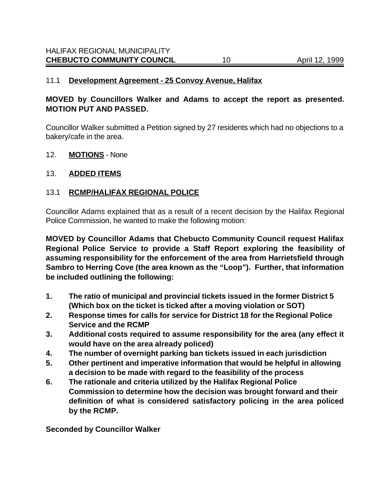#### 11.1 **Development Agreement - 25 Convoy Avenue, Halifax**

#### **MOVED by Councillors Walker and Adams to accept the report as presented. MOTION PUT AND PASSED.**

Councillor Walker submitted a Petition signed by 27 residents which had no objections to a bakery/cafe in the area.

12. **MOTIONS** - None

#### 13. **ADDED ITEMS**

### 13.1 **RCMP/HALIFAX REGIONAL POLICE**

Councillor Adams explained that as a result of a recent decision by the Halifax Regional Police Commission, he wanted to make the following motion:

**MOVED by Councillor Adams that Chebucto Community Council request Halifax Regional Police Service to provide a Staff Report exploring the feasibility of assuming responsibility for the enforcement of the area from Harrietsfield through Sambro to Herring Cove (the area known as the "Loop"). Further, that information be included outlining the following:**

- **1. The ratio of municipal and provincial tickets issued in the former District 5 (Which box on the ticket is ticked after a moving violation or SOT)**
- **2. Response times for calls for service for District 18 for the Regional Police Service and the RCMP**
- **3. Additional costs required to assume responsibility for the area (any effect it would have on the area already policed)**
- **4. The number of overnight parking ban tickets issued in each jurisdiction**
- **5. Other pertinent and imperative information that would be helpful in allowing a decision to be made with regard to the feasibility of the process**
- **6. The rationale and criteria utilized by the Halifax Regional Police Commission to determine how the decision was brought forward and their definition of what is considered satisfactory policing in the area policed by the RCMP.**

**Seconded by Councillor Walker**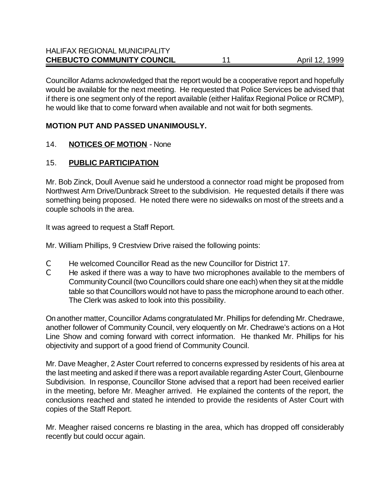Councillor Adams acknowledged that the report would be a cooperative report and hopefully would be available for the next meeting. He requested that Police Services be advised that if there is one segment only of the report available (either Halifax Regional Police or RCMP), he would like that to come forward when available and not wait for both segments.

### **MOTION PUT AND PASSED UNANIMOUSLY.**

### 14. **NOTICES OF MOTION** - None

# 15. **PUBLIC PARTICIPATION**

Mr. Bob Zinck, Doull Avenue said he understood a connector road might be proposed from Northwest Arm Drive/Dunbrack Street to the subdivision. He requested details if there was something being proposed. He noted there were no sidewalks on most of the streets and a couple schools in the area.

It was agreed to request a Staff Report.

Mr. William Phillips, 9 Crestview Drive raised the following points:

- C He welcomed Councillor Read as the new Councillor for District 17.
- C He asked if there was a way to have two microphones available to the members of Community Council (two Councillors could share one each) when they sit at the middle table so that Councillors would not have to pass the microphone around to each other. The Clerk was asked to look into this possibility.

On another matter, Councillor Adams congratulated Mr. Phillips for defending Mr. Chedrawe, another follower of Community Council, very eloquently on Mr. Chedrawe's actions on a Hot Line Show and coming forward with correct information. He thanked Mr. Phillips for his objectivity and support of a good friend of Community Council.

Mr. Dave Meagher, 2 Aster Court referred to concerns expressed by residents of his area at the last meeting and asked if there was a report available regarding Aster Court, Glenbourne Subdivision. In response, Councillor Stone advised that a report had been received earlier in the meeting, before Mr. Meagher arrived. He explained the contents of the report, the conclusions reached and stated he intended to provide the residents of Aster Court with copies of the Staff Report.

Mr. Meagher raised concerns re blasting in the area, which has dropped off considerably recently but could occur again.